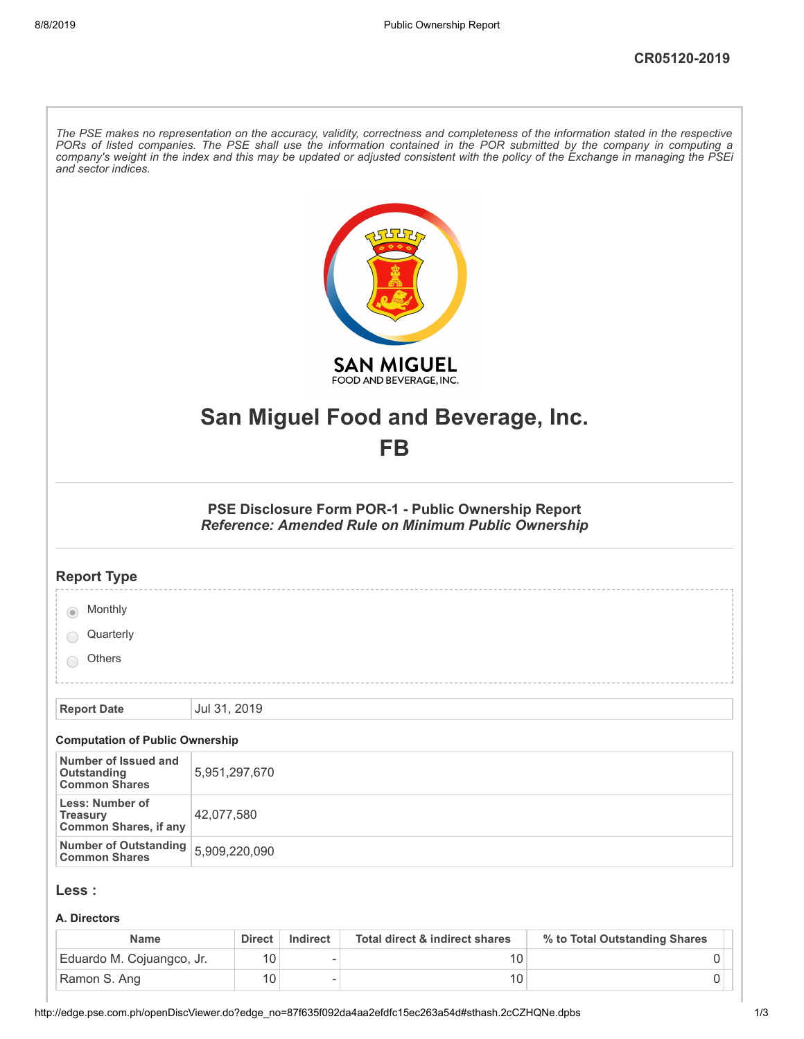| The PSE makes no representation on the accuracy, validity, correctness and completeness of the information stated in the respective<br>PORs of listed companies. The PSE shall use the information contained in the POR submitted by the company in computing a<br>company's weight in the index and this may be updated or adjusted consistent with the policy of the Exchange in managing the PSEi<br>and sector indices. |                                                                                                                          |  |  |
|-----------------------------------------------------------------------------------------------------------------------------------------------------------------------------------------------------------------------------------------------------------------------------------------------------------------------------------------------------------------------------------------------------------------------------|--------------------------------------------------------------------------------------------------------------------------|--|--|
|                                                                                                                                                                                                                                                                                                                                                                                                                             | <b>SAN MIGUEL</b><br>FOOD AND BEVERAGE, INC.                                                                             |  |  |
|                                                                                                                                                                                                                                                                                                                                                                                                                             | San Miguel Food and Beverage, Inc.<br>FB                                                                                 |  |  |
|                                                                                                                                                                                                                                                                                                                                                                                                                             |                                                                                                                          |  |  |
|                                                                                                                                                                                                                                                                                                                                                                                                                             | <b>PSE Disclosure Form POR-1 - Public Ownership Report</b><br><b>Reference: Amended Rule on Minimum Public Ownership</b> |  |  |
| <b>Report Type</b>                                                                                                                                                                                                                                                                                                                                                                                                          |                                                                                                                          |  |  |
| Monthly                                                                                                                                                                                                                                                                                                                                                                                                                     |                                                                                                                          |  |  |
| Quarterly                                                                                                                                                                                                                                                                                                                                                                                                                   |                                                                                                                          |  |  |
| <b>Others</b>                                                                                                                                                                                                                                                                                                                                                                                                               |                                                                                                                          |  |  |
| <b>Report Date</b>                                                                                                                                                                                                                                                                                                                                                                                                          | Jul 31, 2019                                                                                                             |  |  |
| <b>Computation of Public Ownership</b>                                                                                                                                                                                                                                                                                                                                                                                      |                                                                                                                          |  |  |
| Number of Issued and<br>Outstanding<br><b>Common Shares</b>                                                                                                                                                                                                                                                                                                                                                                 | 5,951,297,670                                                                                                            |  |  |
| Less: Number of<br><b>Treasury</b><br><b>Common Shares, if any</b>                                                                                                                                                                                                                                                                                                                                                          | 42,077,580                                                                                                               |  |  |
| <b>Number of Outstanding</b><br><b>Common Shares</b>                                                                                                                                                                                                                                                                                                                                                                        | 5,909,220,090                                                                                                            |  |  |
| Less :                                                                                                                                                                                                                                                                                                                                                                                                                      |                                                                                                                          |  |  |
| A. Directors                                                                                                                                                                                                                                                                                                                                                                                                                |                                                                                                                          |  |  |

| <b>Name</b>               | <b>Direct</b> | Indirect | Total direct & indirect shares | % to Total Outstanding Shares |
|---------------------------|---------------|----------|--------------------------------|-------------------------------|
| Eduardo M. Cojuangco, Jr. | 10            |          |                                |                               |
| Ramon S. Ang              | 10            |          |                                |                               |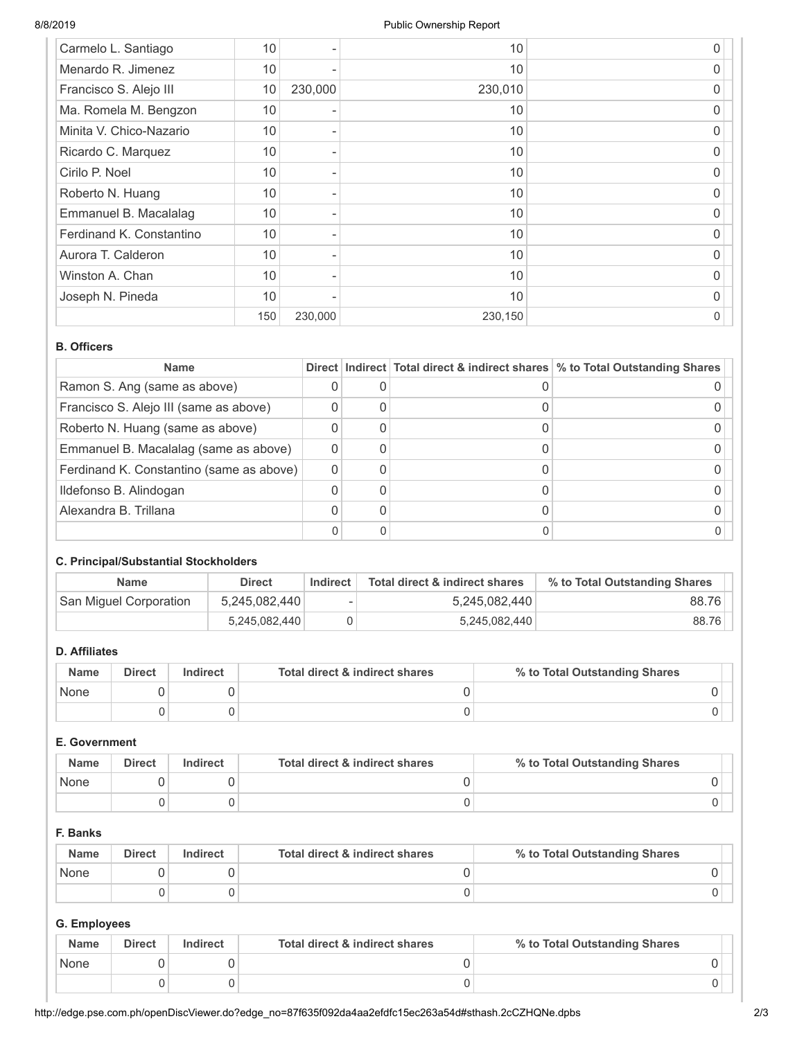| Carmelo L. Santiago      | 10  |         | 10      | 0 |
|--------------------------|-----|---------|---------|---|
| Menardo R. Jimenez       | 10  |         | 10      | 0 |
| Francisco S. Alejo III   | 10  | 230,000 | 230,010 | O |
| Ma. Romela M. Bengzon    | 10  |         | 10      | O |
| Minita V. Chico-Nazario  | 10  |         | 10      | 0 |
| Ricardo C. Marquez       | 10  |         | 10      | 0 |
| Cirilo P. Noel           | 10  |         | 10      | O |
| Roberto N. Huang         | 10  |         | 10      | 0 |
| Emmanuel B. Macalalag    | 10  |         | 10      | 0 |
| Ferdinand K. Constantino | 10  |         | 10      | O |
| Aurora T. Calderon       | 10  |         | 10      | 0 |
| Winston A. Chan          | 10  |         | 10      | 0 |
| Joseph N. Pineda         | 10  |         | 10      | 0 |
|                          | 150 | 230,000 | 230,150 | 0 |

### **B. Officers**

| <b>Name</b>                              |  | Direct   Indirect   Total direct & indirect shares   % to Total Outstanding Shares |
|------------------------------------------|--|------------------------------------------------------------------------------------|
| Ramon S. Ang (same as above)             |  |                                                                                    |
| Francisco S. Alejo III (same as above)   |  |                                                                                    |
| Roberto N. Huang (same as above)         |  |                                                                                    |
| Emmanuel B. Macalalag (same as above)    |  |                                                                                    |
| Ferdinand K. Constantino (same as above) |  |                                                                                    |
| Ildefonso B. Alindogan                   |  |                                                                                    |
| Alexandra B. Trillana                    |  |                                                                                    |
|                                          |  |                                                                                    |

## **C. Principal/Substantial Stockholders**

| <b>Name</b>            | <b>Direct</b> | Indirect | Total direct & indirect shares | % to Total Outstanding Shares |
|------------------------|---------------|----------|--------------------------------|-------------------------------|
| San Miguel Corporation | 5,245,082,440 | ۰        | 5,245,082,440                  | 88.76                         |
|                        | 5,245,082,440 |          | 5,245,082,440                  | 88.76                         |

## **D. Affiliates**

| <b>Name</b> | <b>Direct</b> | Indirect | Total direct & indirect shares | % to Total Outstanding Shares |
|-------------|---------------|----------|--------------------------------|-------------------------------|
| None        |               |          |                                |                               |
|             |               |          |                                |                               |

### **E. Government**

| <b>Name</b> | <b>Direct</b> | <b>Indirect</b> | Total direct & indirect shares | % to Total Outstanding Shares |
|-------------|---------------|-----------------|--------------------------------|-------------------------------|
| None        |               |                 |                                |                               |
|             |               |                 |                                |                               |

### **F. Banks**

| <b>Name</b> | <b>Direct</b> | Indirect | Total direct & indirect shares | % to Total Outstanding Shares |
|-------------|---------------|----------|--------------------------------|-------------------------------|
| None        |               |          |                                |                               |
|             |               |          |                                |                               |

# **G. Employees**

| <b>Name</b> | <b>Direct</b> | Indirect | Total direct & indirect shares | % to Total Outstanding Shares |
|-------------|---------------|----------|--------------------------------|-------------------------------|
| None        |               |          |                                |                               |
|             |               |          |                                |                               |